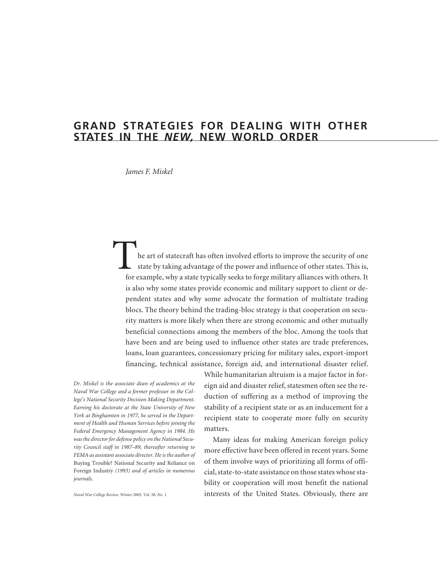# **GRAND STRATEGIES FOR DEALING WITH OTHER STATES IN THE** *NEW,* **NEW WORLD ORDER**

*James F. Miskel*

the art of statecraft has often involved efforts to improve the security of one state by taking advantage of the power and influence of other states. This is, for example, why a state typically seeks to forge military alliances with others. It is also why some states provide economic and military support to client or dependent states and why some advocate the formation of multistate trading blocs. The theory behind the trading-bloc strategy is that cooperation on security matters is more likely when there are strong economic and other mutually beneficial connections among the members of the bloc. Among the tools that have been and are being used to influence other states are trade preferences, loans, loan guarantees, concessionary pricing for military sales, export-import financing, technical assistance, foreign aid, and international disaster relief.

*Dr. Miskel is the associate dean of academics at the Naval War College and a former professor in the College's National Security Decision Making Department. Earning his doctorate at the State University of New York at Binghamton in 1977, he served in the Department of Health and Human Services before joining the Federal Emergency Management Agency in 1984. He was the director for defense policy on the National Security Council staff in 1987–89, thereafter returning to FEMA as assistant associate director. He is the author of* Buying Trouble? National Security and Reliance on Foreign Industry *(1993) and of articles in numerous journals.*

*Naval War College Review, Winter 2005, Vol. 58, No. 1*

While humanitarian altruism is a major factor in foreign aid and disaster relief, statesmen often see the reduction of suffering as a method of improving the stability of a recipient state or as an inducement for a recipient state to cooperate more fully on security matters.

Many ideas for making American foreign policy more effective have been offered in recent years. Some of them involve ways of prioritizing all forms of official, state-to-state assistance on those states whose stability or cooperation will most benefit the national interests of the United States. Obviously, there are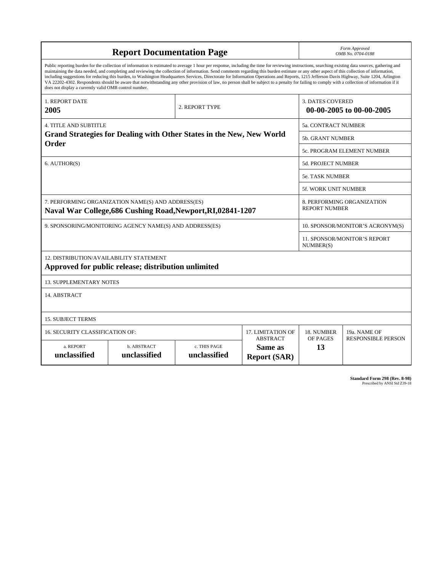| <b>Report Documentation Page</b>                                                                                                                                                                                                                                                                                                                                                                                                                                                                                                                                                                                                                                                                                                                                                                                                                                   |                                                     |                              |                                      | Form Approved<br>OMB No. 0704-0188                  |                                           |  |
|--------------------------------------------------------------------------------------------------------------------------------------------------------------------------------------------------------------------------------------------------------------------------------------------------------------------------------------------------------------------------------------------------------------------------------------------------------------------------------------------------------------------------------------------------------------------------------------------------------------------------------------------------------------------------------------------------------------------------------------------------------------------------------------------------------------------------------------------------------------------|-----------------------------------------------------|------------------------------|--------------------------------------|-----------------------------------------------------|-------------------------------------------|--|
| Public reporting burden for the collection of information is estimated to average 1 hour per response, including the time for reviewing instructions, searching existing data sources, gathering and<br>maintaining the data needed, and completing and reviewing the collection of information. Send comments regarding this burden estimate or any other aspect of this collection of information,<br>including suggestions for reducing this burden, to Washington Headquarters Services, Directorate for Information Operations and Reports, 1215 Jefferson Davis Highway, Suite 1204, Arlington<br>VA 22202-4302. Respondents should be aware that notwithstanding any other provision of law, no person shall be subject to a penalty for failing to comply with a collection of information if it<br>does not display a currently valid OMB control number. |                                                     |                              |                                      |                                                     |                                           |  |
| <b>1. REPORT DATE</b><br>2005                                                                                                                                                                                                                                                                                                                                                                                                                                                                                                                                                                                                                                                                                                                                                                                                                                      | 2. REPORT TYPE                                      |                              |                                      | <b>3. DATES COVERED</b><br>00-00-2005 to 00-00-2005 |                                           |  |
| <b>4. TITLE AND SUBTITLE</b>                                                                                                                                                                                                                                                                                                                                                                                                                                                                                                                                                                                                                                                                                                                                                                                                                                       |                                                     |                              |                                      | <b>5a. CONTRACT NUMBER</b>                          |                                           |  |
| Grand Strategies for Dealing with Other States in the New, New World<br>Order                                                                                                                                                                                                                                                                                                                                                                                                                                                                                                                                                                                                                                                                                                                                                                                      |                                                     |                              |                                      | 5b. GRANT NUMBER                                    |                                           |  |
|                                                                                                                                                                                                                                                                                                                                                                                                                                                                                                                                                                                                                                                                                                                                                                                                                                                                    |                                                     |                              |                                      | 5c. PROGRAM ELEMENT NUMBER                          |                                           |  |
| 6. AUTHOR(S)                                                                                                                                                                                                                                                                                                                                                                                                                                                                                                                                                                                                                                                                                                                                                                                                                                                       |                                                     |                              |                                      | 5d. PROJECT NUMBER                                  |                                           |  |
|                                                                                                                                                                                                                                                                                                                                                                                                                                                                                                                                                                                                                                                                                                                                                                                                                                                                    |                                                     |                              |                                      | <b>5e. TASK NUMBER</b>                              |                                           |  |
|                                                                                                                                                                                                                                                                                                                                                                                                                                                                                                                                                                                                                                                                                                                                                                                                                                                                    |                                                     |                              |                                      | 5f. WORK UNIT NUMBER                                |                                           |  |
| 7. PERFORMING ORGANIZATION NAME(S) AND ADDRESS(ES)<br>Naval War College, 686 Cushing Road, Newport, RI, 02841-1207                                                                                                                                                                                                                                                                                                                                                                                                                                                                                                                                                                                                                                                                                                                                                 |                                                     |                              |                                      | 8. PERFORMING ORGANIZATION<br><b>REPORT NUMBER</b>  |                                           |  |
| 9. SPONSORING/MONITORING AGENCY NAME(S) AND ADDRESS(ES)                                                                                                                                                                                                                                                                                                                                                                                                                                                                                                                                                                                                                                                                                                                                                                                                            |                                                     |                              |                                      | 10. SPONSOR/MONITOR'S ACRONYM(S)                    |                                           |  |
|                                                                                                                                                                                                                                                                                                                                                                                                                                                                                                                                                                                                                                                                                                                                                                                                                                                                    |                                                     |                              |                                      | <b>11. SPONSOR/MONITOR'S REPORT</b><br>NUMBER(S)    |                                           |  |
| 12. DISTRIBUTION/AVAILABILITY STATEMENT                                                                                                                                                                                                                                                                                                                                                                                                                                                                                                                                                                                                                                                                                                                                                                                                                            | Approved for public release; distribution unlimited |                              |                                      |                                                     |                                           |  |
| <b>13. SUPPLEMENTARY NOTES</b>                                                                                                                                                                                                                                                                                                                                                                                                                                                                                                                                                                                                                                                                                                                                                                                                                                     |                                                     |                              |                                      |                                                     |                                           |  |
| 14. ABSTRACT                                                                                                                                                                                                                                                                                                                                                                                                                                                                                                                                                                                                                                                                                                                                                                                                                                                       |                                                     |                              |                                      |                                                     |                                           |  |
| <b>15. SUBJECT TERMS</b>                                                                                                                                                                                                                                                                                                                                                                                                                                                                                                                                                                                                                                                                                                                                                                                                                                           |                                                     |                              |                                      |                                                     |                                           |  |
| 16. SECURITY CLASSIFICATION OF:                                                                                                                                                                                                                                                                                                                                                                                                                                                                                                                                                                                                                                                                                                                                                                                                                                    |                                                     |                              | 17. LIMITATION OF<br><b>ABSTRACT</b> | 18. NUMBER<br><b>OF PAGES</b>                       | 19a. NAME OF<br><b>RESPONSIBLE PERSON</b> |  |
| a. REPORT<br>unclassified                                                                                                                                                                                                                                                                                                                                                                                                                                                                                                                                                                                                                                                                                                                                                                                                                                          | b. ABSTRACT<br>unclassified                         | c. THIS PAGE<br>unclassified | Same as<br><b>Report (SAR)</b>       | 13                                                  |                                           |  |

| <b>Standard Form 298 (Rev. 8-98)</b> |
|--------------------------------------|
| Prescribed by ANSI Std Z39-18        |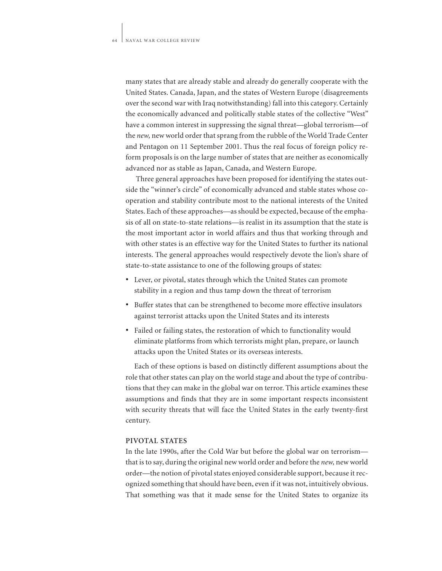many states that are already stable and already do generally cooperate with the United States. Canada, Japan, and the states of Western Europe (disagreements over the second war with Iraq notwithstanding) fall into this category. Certainly the economically advanced and politically stable states of the collective "West" have a common interest in suppressing the signal threat—global terrorism—of the *new,* new world order that sprang from the rubble of the World Trade Center and Pentagon on 11 September 2001. Thus the real focus of foreign policy reform proposals is on the large number of states that are neither as economically advanced nor as stable as Japan, Canada, and Western Europe.

Three general approaches have been proposed for identifying the states outside the "winner's circle" of economically advanced and stable states whose cooperation and stability contribute most to the national interests of the United States. Each of these approaches—as should be expected, because of the emphasis of all on state-to-state relations—is realist in its assumption that the state is the most important actor in world affairs and thus that working through and with other states is an effective way for the United States to further its national interests. The general approaches would respectively devote the lion's share of state-to-state assistance to one of the following groups of states:

- Lever, or pivotal, states through which the United States can promote stability in a region and thus tamp down the threat of terrorism
- Buffer states that can be strengthened to become more effective insulators against terrorist attacks upon the United States and its interests
- Failed or failing states, the restoration of which to functionality would eliminate platforms from which terrorists might plan, prepare, or launch attacks upon the United States or its overseas interests.

Each of these options is based on distinctly different assumptions about the role that other states can play on the world stage and about the type of contributions that they can make in the global war on terror. This article examines these assumptions and finds that they are in some important respects inconsistent with security threats that will face the United States in the early twenty-first century.

## **PIVOTAL STATES**

In the late 1990s, after the Cold War but before the global war on terrorism that is to say, during the original new world order and before the *new,* new world order—the notion of pivotal states enjoyed considerable support, because it recognized something that should have been, even if it was not, intuitively obvious. That something was that it made sense for the United States to organize its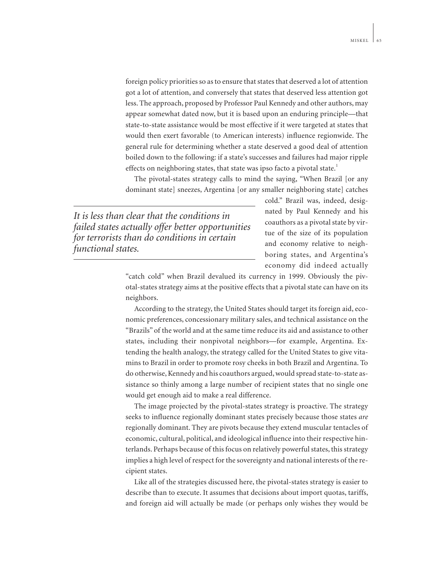foreign policy priorities so as to ensure that states that deserved a lot of attention got a lot of attention, and conversely that states that deserved less attention got less. The approach, proposed by Professor Paul Kennedy and other authors, may appear somewhat dated now, but it is based upon an enduring principle—that state-to-state assistance would be most effective if it were targeted at states that would then exert favorable (to American interests) influence regionwide. The general rule for determining whether a state deserved a good deal of attention boiled down to the following: if a state's successes and failures had major ripple effects on neighboring states, that state was ipso facto a pivotal state.<sup>1</sup>

The pivotal-states strategy calls to mind the saying, "When Brazil [or any dominant state] sneezes, Argentina [or any smaller neighboring state] catches

*It is less than clear that the conditions in failed states actually offer better opportunities for terrorists than do conditions in certain functional states.*

cold." Brazil was, indeed, designated by Paul Kennedy and his coauthors as a pivotal state by virtue of the size of its population and economy relative to neighboring states, and Argentina's economy did indeed actually

"catch cold" when Brazil devalued its currency in 1999. Obviously the pivotal-states strategy aims at the positive effects that a pivotal state can have on its neighbors.

According to the strategy, the United States should target its foreign aid, economic preferences, concessionary military sales, and technical assistance on the "Brazils" of the world and at the same time reduce its aid and assistance to other states, including their nonpivotal neighbors—for example, Argentina. Extending the health analogy, the strategy called for the United States to give vitamins to Brazil in order to promote rosy cheeks in both Brazil and Argentina. To do otherwise, Kennedy and his coauthors argued, would spread state-to-state assistance so thinly among a large number of recipient states that no single one would get enough aid to make a real difference.

The image projected by the pivotal-states strategy is proactive. The strategy seeks to influence regionally dominant states precisely because those states *are* regionally dominant. They are pivots because they extend muscular tentacles of economic, cultural, political, and ideological influence into their respective hinterlands. Perhaps because of this focus on relatively powerful states, this strategy implies a high level of respect for the sovereignty and national interests of the recipient states.

Like all of the strategies discussed here, the pivotal-states strategy is easier to describe than to execute. It assumes that decisions about import quotas, tariffs, and foreign aid will actually be made (or perhaps only wishes they would be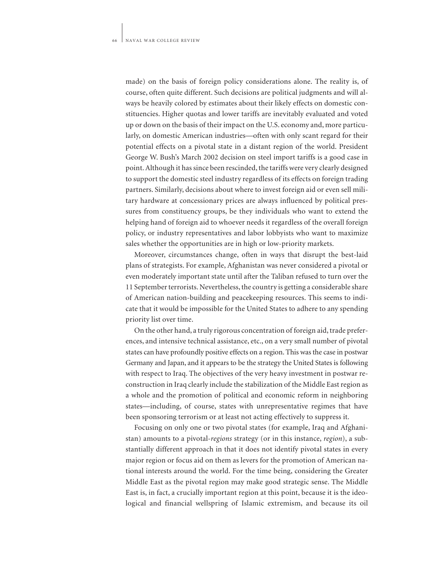made) on the basis of foreign policy considerations alone. The reality is, of course, often quite different. Such decisions are political judgments and will always be heavily colored by estimates about their likely effects on domestic constituencies. Higher quotas and lower tariffs are inevitably evaluated and voted up or down on the basis of their impact on the U.S. economy and, more particularly, on domestic American industries—often with only scant regard for their potential effects on a pivotal state in a distant region of the world. President George W. Bush's March 2002 decision on steel import tariffs is a good case in point. Although it has since been rescinded, the tariffs were very clearly designed to support the domestic steel industry regardless of its effects on foreign trading partners. Similarly, decisions about where to invest foreign aid or even sell military hardware at concessionary prices are always influenced by political pressures from constituency groups, be they individuals who want to extend the helping hand of foreign aid to whoever needs it regardless of the overall foreign policy, or industry representatives and labor lobbyists who want to maximize sales whether the opportunities are in high or low-priority markets.

Moreover, circumstances change, often in ways that disrupt the best-laid plans of strategists. For example, Afghanistan was never considered a pivotal or even moderately important state until after the Taliban refused to turn over the 11 September terrorists. Nevertheless, the country is getting a considerable share of American nation-building and peacekeeping resources. This seems to indicate that it would be impossible for the United States to adhere to any spending priority list over time.

On the other hand, a truly rigorous concentration of foreign aid, trade preferences, and intensive technical assistance, etc., on a very small number of pivotal states can have profoundly positive effects on a region. This was the case in postwar Germany and Japan, and it appears to be the strategy the United States is following with respect to Iraq. The objectives of the very heavy investment in postwar reconstruction in Iraq clearly include the stabilization of the Middle East region as a whole and the promotion of political and economic reform in neighboring states—including, of course, states with unrepresentative regimes that have been sponsoring terrorism or at least not acting effectively to suppress it.

Focusing on only one or two pivotal states (for example, Iraq and Afghanistan) amounts to a pivotal-*regions* strategy (or in this instance, *region*), a substantially different approach in that it does not identify pivotal states in every major region or focus aid on them as levers for the promotion of American national interests around the world. For the time being, considering the Greater Middle East as the pivotal region may make good strategic sense. The Middle East is, in fact, a crucially important region at this point, because it is the ideological and financial wellspring of Islamic extremism, and because its oil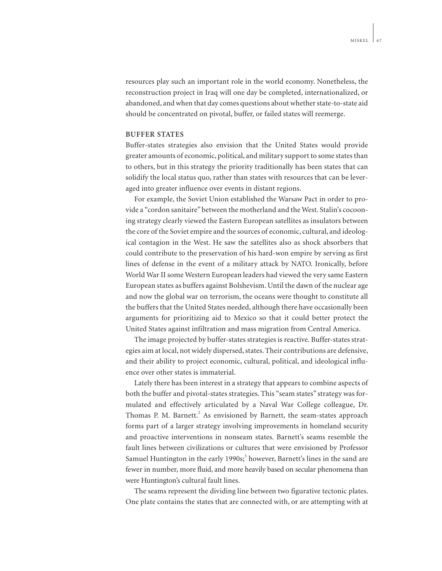resources play such an important role in the world economy. Nonetheless, the reconstruction project in Iraq will one day be completed, internationalized, or abandoned, and when that day comes questions about whether state-to-state aid should be concentrated on pivotal, buffer, or failed states will reemerge.

# **BUFFER STATES**

Buffer-states strategies also envision that the United States would provide greater amounts of economic, political, and military support to some states than to others, but in this strategy the priority traditionally has been states that can solidify the local status quo, rather than states with resources that can be leveraged into greater influence over events in distant regions.

For example, the Soviet Union established the Warsaw Pact in order to provide a "cordon sanitaire" between the motherland and the West. Stalin's cocooning strategy clearly viewed the Eastern European satellites as insulators between the core of the Soviet empire and the sources of economic, cultural, and ideological contagion in the West. He saw the satellites also as shock absorbers that could contribute to the preservation of his hard-won empire by serving as first lines of defense in the event of a military attack by NATO. Ironically, before World War II some Western European leaders had viewed the very same Eastern European states as buffers against Bolshevism. Until the dawn of the nuclear age and now the global war on terrorism, the oceans were thought to constitute all the buffers that the United States needed, although there have occasionally been arguments for prioritizing aid to Mexico so that it could better protect the United States against infiltration and mass migration from Central America.

The image projected by buffer-states strategies is reactive. Buffer-states strategies aim at local, not widely dispersed, states. Their contributions are defensive, and their ability to project economic, cultural, political, and ideological influence over other states is immaterial.

Lately there has been interest in a strategy that appears to combine aspects of both the buffer and pivotal-states strategies. This "seam states" strategy was formulated and effectively articulated by a Naval War College colleague, Dr. Thomas P. M. Barnett.<sup>2</sup> As envisioned by Barnett, the seam-states approach forms part of a larger strategy involving improvements in homeland security and proactive interventions in nonseam states. Barnett's seams resemble the fault lines between civilizations or cultures that were envisioned by Professor Samuel Huntington in the early 1990s;<sup>3</sup> however, Barnett's lines in the sand are fewer in number, more fluid, and more heavily based on secular phenomena than were Huntington's cultural fault lines.

The seams represent the dividing line between two figurative tectonic plates. One plate contains the states that are connected with, or are attempting with at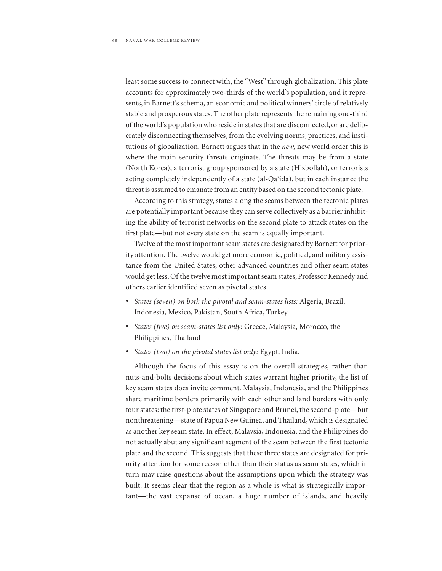least some success to connect with, the "West" through globalization. This plate accounts for approximately two-thirds of the world's population, and it represents, in Barnett's schema, an economic and political winners' circle of relatively stable and prosperous states. The other plate represents the remaining one-third of the world's population who reside in states that are disconnected, or are deliberately disconnecting themselves, from the evolving norms, practices, and institutions of globalization. Barnett argues that in the *new,* new world order this is where the main security threats originate. The threats may be from a state (North Korea), a terrorist group sponsored by a state (Hizbollah), or terrorists acting completely independently of a state (al-Qa'ida), but in each instance the threat is assumed to emanate from an entity based on the second tectonic plate.

According to this strategy, states along the seams between the tectonic plates are potentially important because they can serve collectively as a barrier inhibiting the ability of terrorist networks on the second plate to attack states on the first plate—but not every state on the seam is equally important.

Twelve of the most important seam states are designated by Barnett for priority attention. The twelve would get more economic, political, and military assistance from the United States; other advanced countries and other seam states would get less. Of the twelve most important seam states, Professor Kennedy and others earlier identified seven as pivotal states.

- *States (seven) on both the pivotal and seam-states lists:* Algeria, Brazil, Indonesia, Mexico, Pakistan, South Africa, Turkey
- *States (five) on seam-states list only:* Greece, Malaysia, Morocco, the Philippines, Thailand
- *States (two) on the pivotal states list only:* Egypt, India.

Although the focus of this essay is on the overall strategies, rather than nuts-and-bolts decisions about which states warrant higher priority, the list of key seam states does invite comment. Malaysia, Indonesia, and the Philippines share maritime borders primarily with each other and land borders with only four states: the first-plate states of Singapore and Brunei, the second-plate—but nonthreatening—state of Papua New Guinea, and Thailand, which is designated as another key seam state. In effect, Malaysia, Indonesia, and the Philippines do not actually abut any significant segment of the seam between the first tectonic plate and the second. This suggests that these three states are designated for priority attention for some reason other than their status as seam states, which in turn may raise questions about the assumptions upon which the strategy was built. It seems clear that the region as a whole is what is strategically important—the vast expanse of ocean, a huge number of islands, and heavily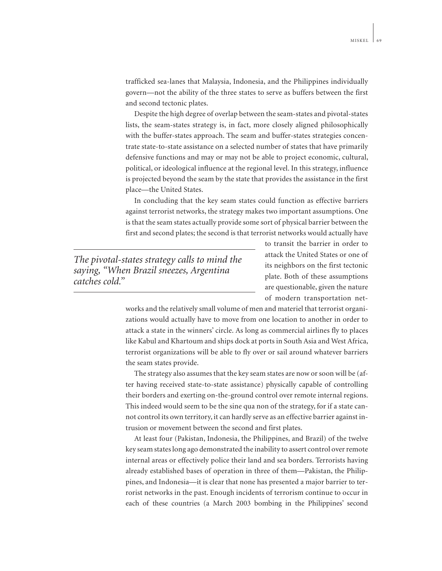trafficked sea-lanes that Malaysia, Indonesia, and the Philippines individually govern—not the ability of the three states to serve as buffers between the first and second tectonic plates.

Despite the high degree of overlap between the seam-states and pivotal-states lists, the seam-states strategy is, in fact, more closely aligned philosophically with the buffer-states approach. The seam and buffer-states strategies concentrate state-to-state assistance on a selected number of states that have primarily defensive functions and may or may not be able to project economic, cultural, political, or ideological influence at the regional level. In this strategy, influence is projected beyond the seam by the state that provides the assistance in the first place—the United States.

In concluding that the key seam states could function as effective barriers against terrorist networks, the strategy makes two important assumptions. One is that the seam states actually provide some sort of physical barrier between the first and second plates; the second is that terrorist networks would actually have

*The pivotal-states strategy calls to mind the saying, "When Brazil sneezes, Argentina catches cold."*

to transit the barrier in order to attack the United States or one of its neighbors on the first tectonic plate. Both of these assumptions are questionable, given the nature of modern transportation net-

works and the relatively small volume of men and materiel that terrorist organizations would actually have to move from one location to another in order to attack a state in the winners' circle. As long as commercial airlines fly to places like Kabul and Khartoum and ships dock at ports in South Asia and West Africa, terrorist organizations will be able to fly over or sail around whatever barriers the seam states provide.

The strategy also assumes that the key seam states are now or soon will be (after having received state-to-state assistance) physically capable of controlling their borders and exerting on-the-ground control over remote internal regions. This indeed would seem to be the sine qua non of the strategy, for if a state cannot control its own territory, it can hardly serve as an effective barrier against intrusion or movement between the second and first plates.

At least four (Pakistan, Indonesia, the Philippines, and Brazil) of the twelve key seam states long ago demonstrated the inability to assert control over remote internal areas or effectively police their land and sea borders. Terrorists having already established bases of operation in three of them—Pakistan, the Philippines, and Indonesia—it is clear that none has presented a major barrier to terrorist networks in the past. Enough incidents of terrorism continue to occur in each of these countries (a March 2003 bombing in the Philippines' second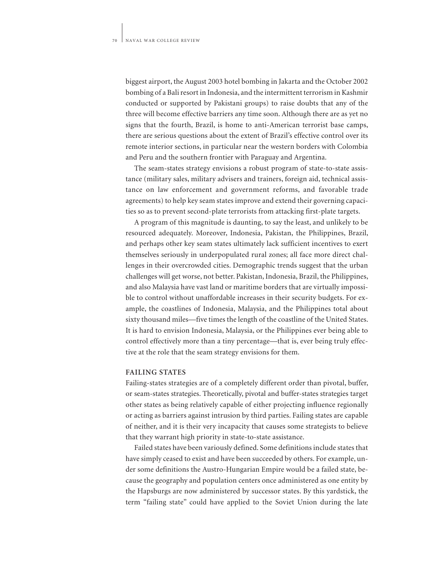biggest airport, the August 2003 hotel bombing in Jakarta and the October 2002 bombing of a Bali resort in Indonesia, and the intermittent terrorism in Kashmir conducted or supported by Pakistani groups) to raise doubts that any of the three will become effective barriers any time soon. Although there are as yet no signs that the fourth, Brazil, is home to anti-American terrorist base camps, there are serious questions about the extent of Brazil's effective control over its remote interior sections, in particular near the western borders with Colombia and Peru and the southern frontier with Paraguay and Argentina.

The seam-states strategy envisions a robust program of state-to-state assistance (military sales, military advisers and trainers, foreign aid, technical assistance on law enforcement and government reforms, and favorable trade agreements) to help key seam states improve and extend their governing capacities so as to prevent second-plate terrorists from attacking first-plate targets.

A program of this magnitude is daunting, to say the least, and unlikely to be resourced adequately. Moreover, Indonesia, Pakistan, the Philippines, Brazil, and perhaps other key seam states ultimately lack sufficient incentives to exert themselves seriously in underpopulated rural zones; all face more direct challenges in their overcrowded cities. Demographic trends suggest that the urban challenges will get worse, not better. Pakistan, Indonesia, Brazil, the Philippines, and also Malaysia have vast land or maritime borders that are virtually impossible to control without unaffordable increases in their security budgets. For example, the coastlines of Indonesia, Malaysia, and the Philippines total about sixty thousand miles—five times the length of the coastline of the United States. It is hard to envision Indonesia, Malaysia, or the Philippines ever being able to control effectively more than a tiny percentage—that is, ever being truly effective at the role that the seam strategy envisions for them.

## **FAILING STATES**

Failing-states strategies are of a completely different order than pivotal, buffer, or seam-states strategies. Theoretically, pivotal and buffer-states strategies target other states as being relatively capable of either projecting influence regionally or acting as barriers against intrusion by third parties. Failing states are capable of neither, and it is their very incapacity that causes some strategists to believe that they warrant high priority in state-to-state assistance.

Failed states have been variously defined. Some definitions include states that have simply ceased to exist and have been succeeded by others. For example, under some definitions the Austro-Hungarian Empire would be a failed state, because the geography and population centers once administered as one entity by the Hapsburgs are now administered by successor states. By this yardstick, the term "failing state" could have applied to the Soviet Union during the late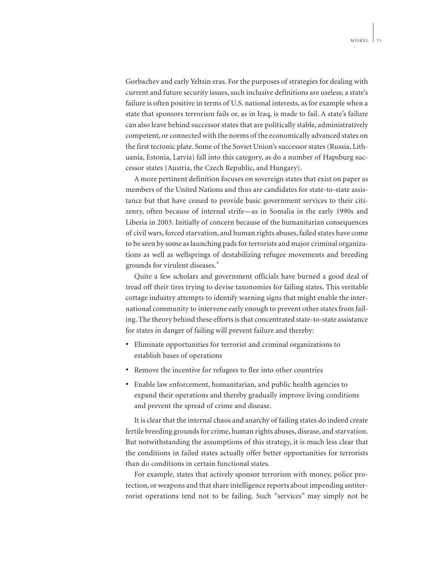Gorbachev and early Yeltsin eras. For the purposes of strategies for dealing with current and future security issues, such inclusive definitions are useless; a state's failure is often positive in terms of U.S. national interests, as for example when a state that sponsors terrorism fails or, as in Iraq, is made to fail. A state's failure can also leave behind successor states that are politically stable, administratively competent, or connected with the norms of the economically advanced states on the first tectonic plate. Some of the Soviet Union's successor states (Russia, Lithuania, Estonia, Latvia) fall into this category, as do a number of Hapsburg successor states (Austria, the Czech Republic, and Hungary).

A more pertinent definition focuses on sovereign states that exist on paper as members of the United Nations and thus are candidates for state-to-state assistance but that have ceased to provide basic government services to their citizenry, often because of internal strife—as in Somalia in the early 1990s and Liberia in 2003. Initially of concern because of the humanitarian consequences of civil wars, forced starvation, and human rights abuses, failed states have come to be seen by some as launching pads for terrorists and major criminal organizations as well as wellsprings of destabilizing refugee movements and breeding grounds for virulent diseases.<sup>4</sup>

Quite a few scholars and government officials have burned a good deal of tread off their tires trying to devise taxonomies for failing states. This veritable cottage industry attempts to identify warning signs that might enable the international community to intervene early enough to prevent other states from failing. The theory behind these efforts is that concentrated state-to-state assistance for states in danger of failing will prevent failure and thereby:

- Eliminate opportunities for terrorist and criminal organizations to establish bases of operations
- Remove the incentive for refugees to flee into other countries
- Enable law enforcement, humanitarian, and public health agencies to expand their operations and thereby gradually improve living conditions and prevent the spread of crime and disease.

It is clear that the internal chaos and anarchy of failing states do indeed create fertile breeding grounds for crime, human rights abuses, disease, and starvation. But notwithstanding the assumptions of this strategy, it is much less clear that the conditions in failed states actually offer better opportunities for terrorists than do conditions in certain functional states.

For example, states that actively sponsor terrorism with money, police protection, or weapons and that share intelligence reports about impending antiterrorist operations tend not to be failing. Such "services" may simply not be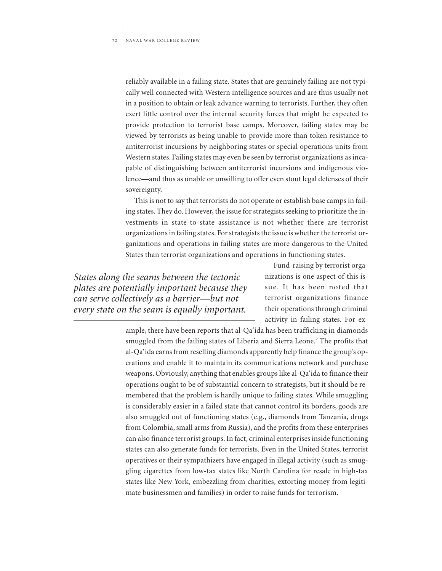reliably available in a failing state. States that are genuinely failing are not typically well connected with Western intelligence sources and are thus usually not in a position to obtain or leak advance warning to terrorists. Further, they often exert little control over the internal security forces that might be expected to provide protection to terrorist base camps. Moreover, failing states may be viewed by terrorists as being unable to provide more than token resistance to antiterrorist incursions by neighboring states or special operations units from Western states. Failing states may even be seen by terrorist organizations as incapable of distinguishing between antiterrorist incursions and indigenous violence—and thus as unable or unwilling to offer even stout legal defenses of their sovereignty.

This is not to say that terrorists do not operate or establish base camps in failing states. They do. However, the issue for strategists seeking to prioritize the investments in state-to-state assistance is not whether there are terrorist organizations in failing states. For strategists the issue is whether the terrorist organizations and operations in failing states are more dangerous to the United States than terrorist organizations and operations in functioning states.

*States along the seams between the tectonic plates are potentially important because they can serve collectively as a barrier—but not every state on the seam is equally important.*

Fund-raising by terrorist organizations is one aspect of this issue. It has been noted that terrorist organizations finance their operations through criminal activity in failing states. For ex-

ample, there have been reports that al-Qa'ida has been trafficking in diamonds smuggled from the failing states of Liberia and Sierra Leone.<sup>5</sup> The profits that al-Qa'ida earns from reselling diamonds apparently help finance the group's operations and enable it to maintain its communications network and purchase weapons. Obviously, anything that enables groups like al-Qa'ida to finance their operations ought to be of substantial concern to strategists, but it should be remembered that the problem is hardly unique to failing states. While smuggling is considerably easier in a failed state that cannot control its borders, goods are also smuggled out of functioning states (e.g., diamonds from Tanzania, drugs from Colombia, small arms from Russia), and the profits from these enterprises can also finance terrorist groups. In fact, criminal enterprises inside functioning states can also generate funds for terrorists. Even in the United States, terrorist operatives or their sympathizers have engaged in illegal activity (such as smuggling cigarettes from low-tax states like North Carolina for resale in high-tax states like New York, embezzling from charities, extorting money from legitimate businessmen and families) in order to raise funds for terrorism.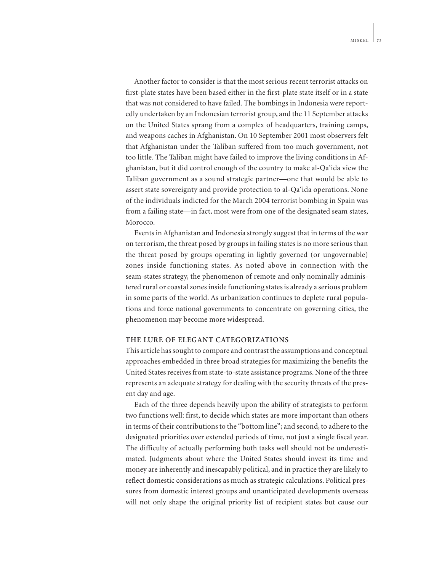Another factor to consider is that the most serious recent terrorist attacks on first-plate states have been based either in the first-plate state itself or in a state that was not considered to have failed. The bombings in Indonesia were reportedly undertaken by an Indonesian terrorist group, and the 11 September attacks on the United States sprang from a complex of headquarters, training camps, and weapons caches in Afghanistan. On 10 September 2001 most observers felt that Afghanistan under the Taliban suffered from too much government, not too little. The Taliban might have failed to improve the living conditions in Afghanistan, but it did control enough of the country to make al-Qa'ida view the Taliban government as a sound strategic partner—one that would be able to assert state sovereignty and provide protection to al-Qa'ida operations. None of the individuals indicted for the March 2004 terrorist bombing in Spain was from a failing state—in fact, most were from one of the designated seam states, Morocco.

Events in Afghanistan and Indonesia strongly suggest that in terms of the war on terrorism, the threat posed by groups in failing states is no more serious than the threat posed by groups operating in lightly governed (or ungovernable) zones inside functioning states. As noted above in connection with the seam-states strategy, the phenomenon of remote and only nominally administered rural or coastal zones inside functioning states is already a serious problem in some parts of the world. As urbanization continues to deplete rural populations and force national governments to concentrate on governing cities, the phenomenon may become more widespread.

### **THE LURE OF ELEGANT CATEGORIZATIONS**

This article has sought to compare and contrast the assumptions and conceptual approaches embedded in three broad strategies for maximizing the benefits the United States receives from state-to-state assistance programs. None of the three represents an adequate strategy for dealing with the security threats of the present day and age.

Each of the three depends heavily upon the ability of strategists to perform two functions well: first, to decide which states are more important than others in terms of their contributions to the "bottom line"; and second, to adhere to the designated priorities over extended periods of time, not just a single fiscal year. The difficulty of actually performing both tasks well should not be underestimated. Judgments about where the United States should invest its time and money are inherently and inescapably political, and in practice they are likely to reflect domestic considerations as much as strategic calculations. Political pressures from domestic interest groups and unanticipated developments overseas will not only shape the original priority list of recipient states but cause our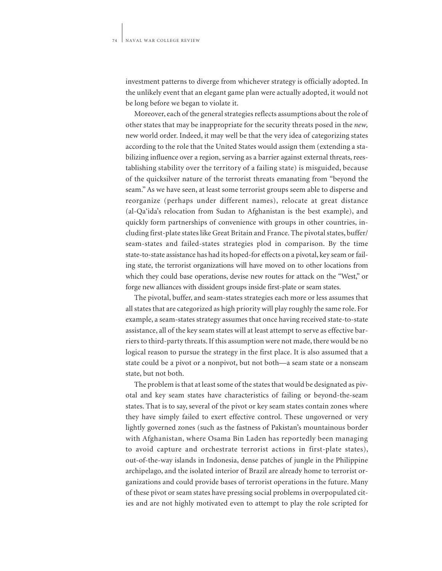investment patterns to diverge from whichever strategy is officially adopted. In the unlikely event that an elegant game plan were actually adopted, it would not be long before we began to violate it.

Moreover, each of the general strategies reflects assumptions about the role of other states that may be inappropriate for the security threats posed in the *new,* new world order. Indeed, it may well be that the very idea of categorizing states according to the role that the United States would assign them (extending a stabilizing influence over a region, serving as a barrier against external threats, reestablishing stability over the territory of a failing state) is misguided, because of the quicksilver nature of the terrorist threats emanating from "beyond the seam." As we have seen, at least some terrorist groups seem able to disperse and reorganize (perhaps under different names), relocate at great distance (al-Qa'ida's relocation from Sudan to Afghanistan is the best example), and quickly form partnerships of convenience with groups in other countries, including first-plate states like Great Britain and France. The pivotal states, buffer/ seam-states and failed-states strategies plod in comparison. By the time state-to-state assistance has had its hoped-for effects on a pivotal, key seam or failing state, the terrorist organizations will have moved on to other locations from which they could base operations, devise new routes for attack on the "West," or forge new alliances with dissident groups inside first-plate or seam states.

The pivotal, buffer, and seam-states strategies each more or less assumes that all states that are categorized as high priority will play roughly the same role. For example, a seam-states strategy assumes that once having received state-to-state assistance, all of the key seam states will at least attempt to serve as effective barriers to third-party threats. If this assumption were not made, there would be no logical reason to pursue the strategy in the first place. It is also assumed that a state could be a pivot or a nonpivot, but not both—a seam state or a nonseam state, but not both.

The problem is that at least some of the states that would be designated as pivotal and key seam states have characteristics of failing or beyond-the-seam states. That is to say, several of the pivot or key seam states contain zones where they have simply failed to exert effective control. These ungoverned or very lightly governed zones (such as the fastness of Pakistan's mountainous border with Afghanistan, where Osama Bin Laden has reportedly been managing to avoid capture and orchestrate terrorist actions in first-plate states), out-of-the-way islands in Indonesia, dense patches of jungle in the Philippine archipelago, and the isolated interior of Brazil are already home to terrorist organizations and could provide bases of terrorist operations in the future. Many of these pivot or seam states have pressing social problems in overpopulated cities and are not highly motivated even to attempt to play the role scripted for